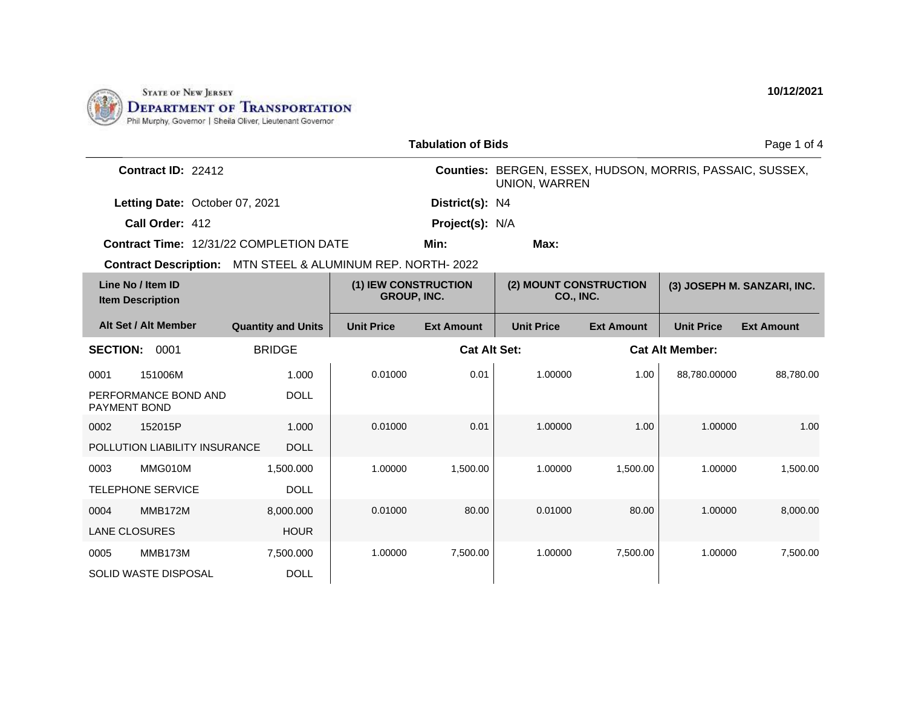

| <b>Tabulation of Bids</b>                                  |                           |                   |                                            |                                                                                   |                                            |                        | Page 1 of 4                 |  |
|------------------------------------------------------------|---------------------------|-------------------|--------------------------------------------|-----------------------------------------------------------------------------------|--------------------------------------------|------------------------|-----------------------------|--|
| Contract ID: 22412                                         |                           |                   |                                            | Counties: BERGEN, ESSEX, HUDSON, MORRIS, PASSAIC, SUSSEX,<br><b>UNION, WARREN</b> |                                            |                        |                             |  |
| Letting Date: October 07, 2021                             |                           |                   | District(s): N4                            |                                                                                   |                                            |                        |                             |  |
| Call Order: 412                                            |                           |                   | Project(s): N/A                            |                                                                                   |                                            |                        |                             |  |
| Contract Time: 12/31/22 COMPLETION DATE                    |                           |                   | Min:                                       | Max:                                                                              |                                            |                        |                             |  |
| Contract Description: MTN STEEL & ALUMINUM REP. NORTH-2022 |                           |                   |                                            |                                                                                   |                                            |                        |                             |  |
| Line No / Item ID<br><b>Item Description</b>               |                           |                   | (1) IEW CONSTRUCTION<br><b>GROUP, INC.</b> |                                                                                   | (2) MOUNT CONSTRUCTION<br><b>CO., INC.</b> |                        | (3) JOSEPH M. SANZARI, INC. |  |
| Alt Set / Alt Member                                       | <b>Quantity and Units</b> | <b>Unit Price</b> | <b>Ext Amount</b>                          | <b>Unit Price</b>                                                                 | <b>Ext Amount</b>                          | <b>Unit Price</b>      | <b>Ext Amount</b>           |  |
| <b>SECTION:</b><br>0001                                    | <b>BRIDGE</b>             |                   | <b>Cat Alt Set:</b>                        |                                                                                   |                                            | <b>Cat Alt Member:</b> |                             |  |
| 151006M<br>0001                                            | 1.000                     | 0.01000           | 0.01                                       | 1.00000                                                                           | 1.00                                       | 88,780.00000           | 88.780.00                   |  |
| PERFORMANCE BOND AND<br><b>PAYMENT BOND</b>                | <b>DOLL</b>               |                   |                                            |                                                                                   |                                            |                        |                             |  |
| 152015P<br>0002                                            | 1.000                     | 0.01000           | 0.01                                       | 1.00000                                                                           | 1.00                                       | 1.00000                | 1.00                        |  |
| POLLUTION LIABILITY INSURANCE                              | <b>DOLL</b>               |                   |                                            |                                                                                   |                                            |                        |                             |  |
| MMG010M<br>0003                                            | 1.500.000                 | 1.00000           | 1,500.00                                   | 1.00000                                                                           | 1,500.00                                   | 1.00000                | 1,500.00                    |  |
| <b>TELEPHONE SERVICE</b>                                   | <b>DOLL</b>               |                   |                                            |                                                                                   |                                            |                        |                             |  |
| <b>MMB172M</b><br>0004                                     | 8,000.000                 | 0.01000           | 80.00                                      | 0.01000                                                                           | 80.00                                      | 1.00000                | 8,000.00                    |  |
| <b>LANE CLOSURES</b>                                       | <b>HOUR</b>               |                   |                                            |                                                                                   |                                            |                        |                             |  |
| MMB173M<br>0005                                            | 7,500.000                 | 1.00000           | 7,500.00                                   | 1.00000                                                                           | 7,500.00                                   | 1.00000                | 7,500.00                    |  |
| SOLID WASTE DISPOSAL                                       | <b>DOLL</b>               |                   |                                            |                                                                                   |                                            |                        |                             |  |

**10/12/2021**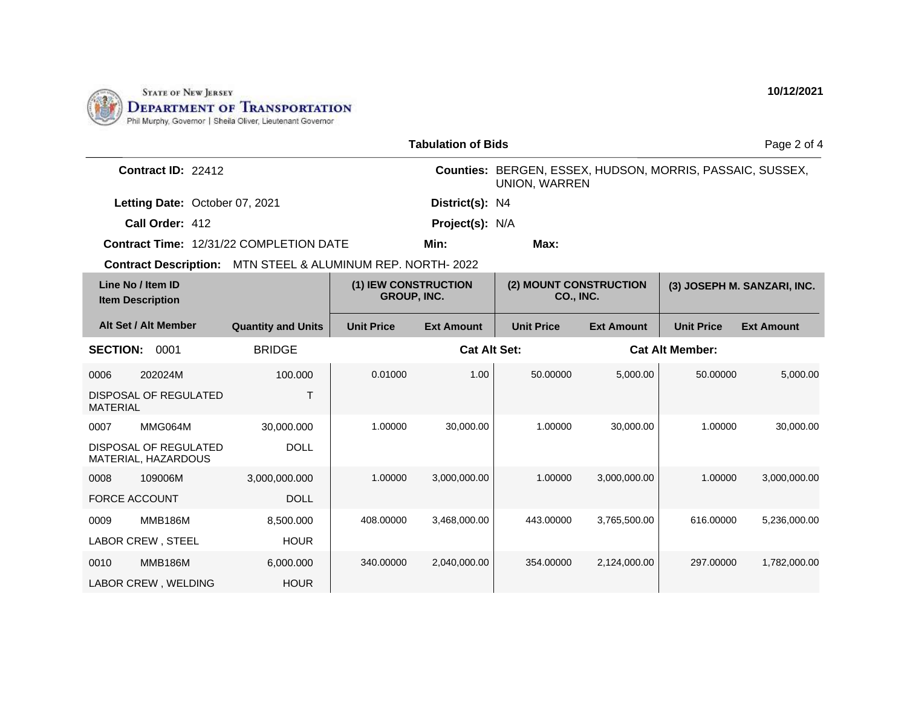

|                                                             |                           |                                            | <b>Tabulation of Bids</b> |                                                                                   |                        |                             | Page 2 of 4       |
|-------------------------------------------------------------|---------------------------|--------------------------------------------|---------------------------|-----------------------------------------------------------------------------------|------------------------|-----------------------------|-------------------|
| Contract ID: 22412                                          |                           |                                            |                           | Counties: BERGEN, ESSEX, HUDSON, MORRIS, PASSAIC, SUSSEX,<br><b>UNION, WARREN</b> |                        |                             |                   |
| Letting Date: October 07, 2021                              | District(s): N4           |                                            |                           |                                                                                   |                        |                             |                   |
| Call Order: 412                                             |                           | Project(s): N/A                            |                           |                                                                                   |                        |                             |                   |
| <b>Contract Time: 12/31/22 COMPLETION DATE</b>              |                           |                                            | Min:                      | Max:                                                                              |                        |                             |                   |
| Contract Description: MTN STEEL & ALUMINUM REP. NORTH- 2022 |                           |                                            |                           |                                                                                   |                        |                             |                   |
| Line No / Item ID<br><b>Item Description</b>                |                           | (1) IEW CONSTRUCTION<br><b>GROUP, INC.</b> |                           | (2) MOUNT CONSTRUCTION<br><b>CO., INC.</b>                                        |                        | (3) JOSEPH M. SANZARI, INC. |                   |
| Alt Set / Alt Member                                        | <b>Quantity and Units</b> | <b>Unit Price</b>                          | <b>Ext Amount</b>         | <b>Unit Price</b>                                                                 | <b>Ext Amount</b>      | <b>Unit Price</b>           | <b>Ext Amount</b> |
| <b>SECTION:</b><br>0001                                     | <b>BRIDGE</b>             |                                            | <b>Cat Alt Set:</b>       |                                                                                   | <b>Cat Alt Member:</b> |                             |                   |
| 202024M<br>0006                                             | 100.000                   | 0.01000                                    | 1.00                      | 50.00000                                                                          | 5,000.00               | 50.00000                    | 5,000.00          |
| DISPOSAL OF REGULATED<br><b>MATERIAL</b>                    | T                         |                                            |                           |                                                                                   |                        |                             |                   |
| MMG064M<br>0007                                             | 30,000.000                | 1.00000                                    | 30,000.00                 | 1.00000                                                                           | 30,000.00              | 1.00000                     | 30.000.00         |
| DISPOSAL OF REGULATED<br>MATERIAL, HAZARDOUS                | <b>DOLL</b>               |                                            |                           |                                                                                   |                        |                             |                   |
| 109006M<br>0008                                             | 3,000,000.000             | 1.00000                                    | 3,000,000.00              | 1.00000                                                                           | 3.000.000.00           | 1.00000                     | 3,000,000.00      |
| <b>FORCE ACCOUNT</b>                                        | <b>DOLL</b>               |                                            |                           |                                                                                   |                        |                             |                   |
| <b>MMB186M</b><br>0009                                      | 8,500.000                 | 408.00000                                  | 3,468,000.00              | 443.00000                                                                         | 3,765,500.00           | 616,00000                   | 5.236.000.00      |
| LABOR CREW, STEEL                                           | <b>HOUR</b>               |                                            |                           |                                                                                   |                        |                             |                   |
| <b>MMB186M</b><br>0010                                      | 6,000.000                 | 340.00000                                  | 2,040,000.00              | 354.00000                                                                         | 2,124,000.00           | 297.00000                   | 1,782,000.00      |
| LABOR CREW, WELDING                                         | <b>HOUR</b>               |                                            |                           |                                                                                   |                        |                             |                   |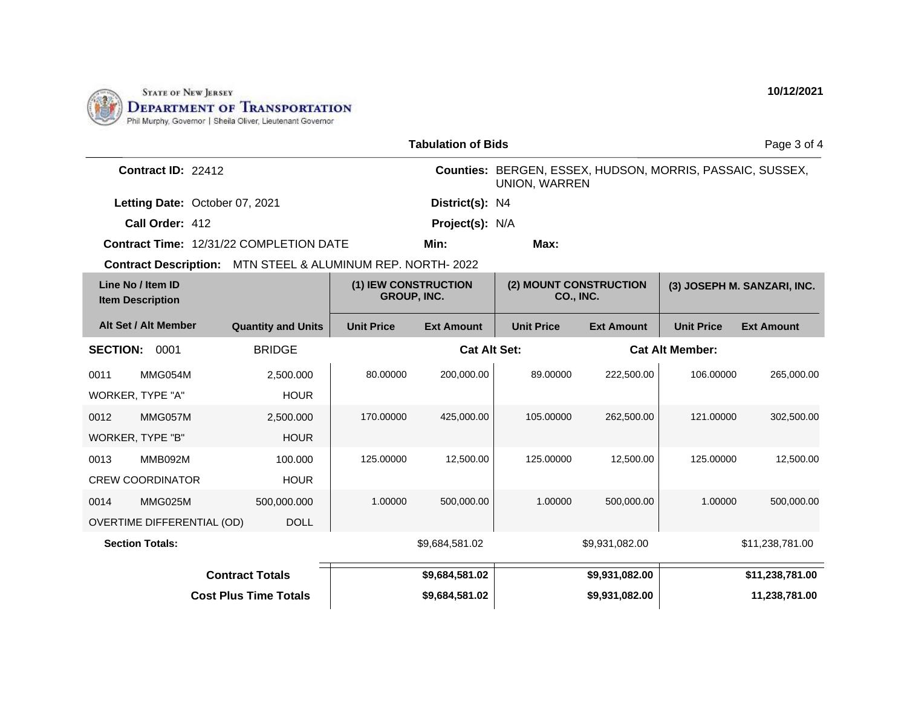

| <b>Tabulation of Bids</b>                                   |                           |                                            |                     |                                                                                   |                   | Page 3 of 4            |                   |
|-------------------------------------------------------------|---------------------------|--------------------------------------------|---------------------|-----------------------------------------------------------------------------------|-------------------|------------------------|-------------------|
| Contract ID: 22412                                          |                           |                                            |                     | Counties: BERGEN, ESSEX, HUDSON, MORRIS, PASSAIC, SUSSEX,<br><b>UNION, WARREN</b> |                   |                        |                   |
| Letting Date: October 07, 2021                              |                           |                                            | District(s): N4     |                                                                                   |                   |                        |                   |
| Call Order: 412                                             |                           |                                            | Project(s): N/A     |                                                                                   |                   |                        |                   |
| Contract Time: 12/31/22 COMPLETION DATE                     |                           |                                            | Min:                | Max:                                                                              |                   |                        |                   |
| Contract Description: MTN STEEL & ALUMINUM REP. NORTH- 2022 |                           |                                            |                     |                                                                                   |                   |                        |                   |
| Line No / Item ID<br><b>Item Description</b>                |                           | (1) IEW CONSTRUCTION<br><b>GROUP, INC.</b> |                     | (2) MOUNT CONSTRUCTION<br>(3) JOSEPH M. SANZARI, INC.<br><b>CO., INC.</b>         |                   |                        |                   |
| Alt Set / Alt Member                                        | <b>Quantity and Units</b> | <b>Unit Price</b>                          | <b>Ext Amount</b>   | <b>Unit Price</b>                                                                 | <b>Ext Amount</b> | <b>Unit Price</b>      | <b>Ext Amount</b> |
| <b>SECTION:</b><br>0001                                     | <b>BRIDGE</b>             |                                            | <b>Cat Alt Set:</b> |                                                                                   |                   | <b>Cat Alt Member:</b> |                   |
| MMG054M<br>0011                                             | 2,500.000                 | 80.00000                                   | 200,000.00          | 89.00000                                                                          | 222,500.00        | 106.00000              | 265,000.00        |
| WORKER, TYPE "A"                                            | <b>HOUR</b>               |                                            |                     |                                                                                   |                   |                        |                   |
| 0012<br>MMG057M                                             | 2,500.000                 | 170.00000                                  | 425,000.00          | 105.00000                                                                         | 262,500.00        | 121.00000              | 302,500.00        |
| WORKER, TYPE "B"                                            | <b>HOUR</b>               |                                            |                     |                                                                                   |                   |                        |                   |
| MMB092M<br>0013                                             | 100.000                   | 125.00000                                  | 12,500.00           | 125.00000                                                                         | 12,500.00         | 125.00000              | 12,500.00         |
| <b>CREW COORDINATOR</b>                                     | <b>HOUR</b>               |                                            |                     |                                                                                   |                   |                        |                   |
| MMG025M<br>0014                                             | 500,000.000               | 1.00000                                    | 500,000.00          | 1.00000                                                                           | 500,000.00        | 1.00000                | 500,000.00        |
| <b>OVERTIME DIFFERENTIAL (OD)</b>                           | <b>DOLL</b>               |                                            |                     |                                                                                   |                   |                        |                   |
| <b>Section Totals:</b>                                      |                           |                                            | \$9,684,581.02      |                                                                                   | \$9,931,082.00    |                        | \$11,238,781.00   |
|                                                             | <b>Contract Totals</b>    |                                            | \$9,684,581.02      |                                                                                   | \$9,931,082.00    |                        | \$11,238,781.00   |
| <b>Cost Plus Time Totals</b>                                |                           | \$9.684.581.02                             |                     | \$9,931,082.00                                                                    |                   | 11,238,781.00          |                   |

**10/12/2021**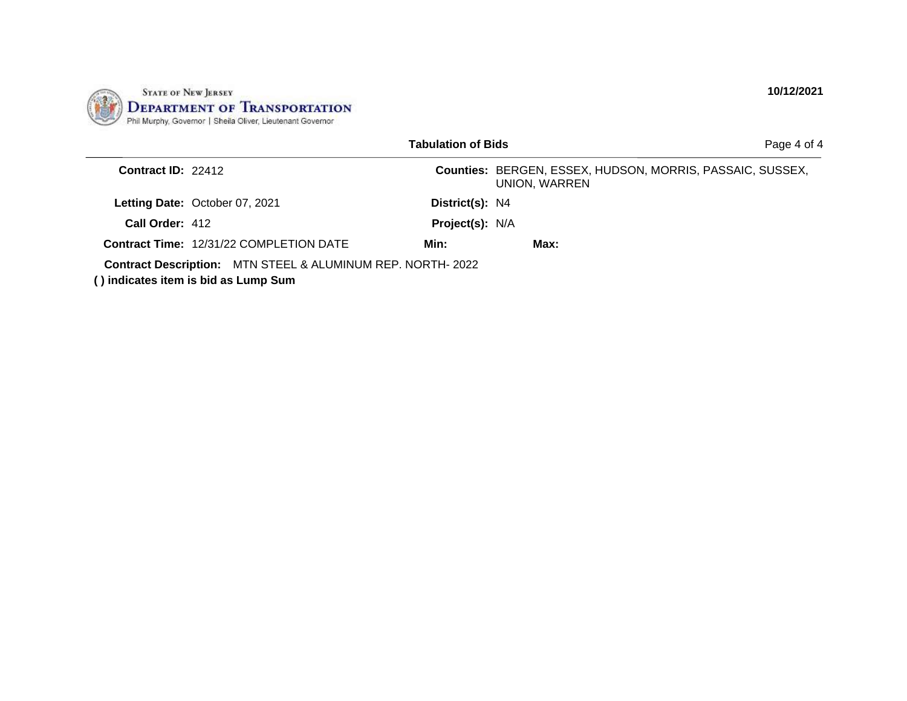

|                    |                                                                                                           | <b>Tabulation of Bids</b> |                                                                            | Page 4 of 4 |
|--------------------|-----------------------------------------------------------------------------------------------------------|---------------------------|----------------------------------------------------------------------------|-------------|
| Contract ID: 22412 |                                                                                                           |                           | Counties: BERGEN, ESSEX, HUDSON, MORRIS, PASSAIC, SUSSEX,<br>UNION, WARREN |             |
|                    | Letting Date: October 07, 2021                                                                            | District(s): N4           |                                                                            |             |
| Call Order: 412    |                                                                                                           | <b>Project(s): N/A</b>    |                                                                            |             |
|                    | <b>Contract Time: 12/31/22 COMPLETION DATE</b>                                                            | Min:                      | Max:                                                                       |             |
|                    | <b>Contract Description:</b> MTN STEEL & ALUMINUM REP. NORTH-2022<br>() indicates item is bid as Lump Sum |                           |                                                                            |             |